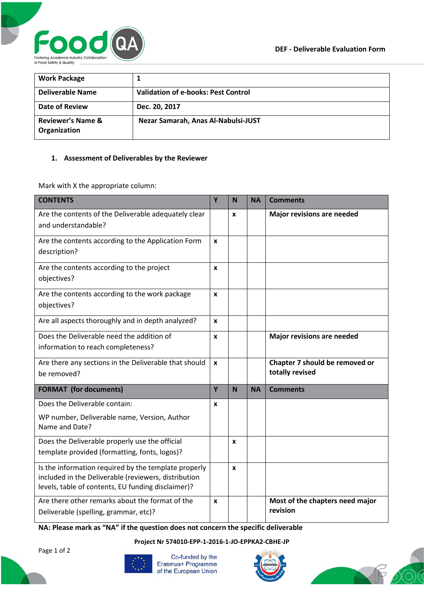

| <b>Work Package</b>                          |                                            |
|----------------------------------------------|--------------------------------------------|
| <b>Deliverable Name</b>                      | <b>Validation of e-books: Pest Control</b> |
| Date of Review                               | Dec. 20, 2017                              |
| <b>Reviewer's Name &amp;</b><br>Organization | Nezar Samarah, Anas Al-Nabulsi-JUST        |

## **1. Assessment of Deliverables by the Reviewer**

Mark with X the appropriate column:

| <b>CONTENTS</b>                                                                                                                                                    | Y            | N | <b>NA</b> | <b>Comments</b>                                   |
|--------------------------------------------------------------------------------------------------------------------------------------------------------------------|--------------|---|-----------|---------------------------------------------------|
| Are the contents of the Deliverable adequately clear<br>and understandable?                                                                                        |              | X |           | Major revisions are needed                        |
| Are the contents according to the Application Form<br>description?                                                                                                 |              |   |           |                                                   |
| Are the contents according to the project<br>objectives?                                                                                                           | X            |   |           |                                                   |
| Are the contents according to the work package<br>objectives?                                                                                                      | $\mathbf{x}$ |   |           |                                                   |
| Are all aspects thoroughly and in depth analyzed?                                                                                                                  | X            |   |           |                                                   |
| Does the Deliverable need the addition of<br>information to reach completeness?                                                                                    | X            |   |           | Major revisions are needed                        |
| Are there any sections in the Deliverable that should<br>be removed?                                                                                               | $\mathbf{x}$ |   |           | Chapter 7 should be removed or<br>totally revised |
| <b>FORMAT</b> (for documents)                                                                                                                                      | Y            | N | <b>NA</b> | <b>Comments</b>                                   |
| Does the Deliverable contain:                                                                                                                                      | X            |   |           |                                                   |
| WP number, Deliverable name, Version, Author<br>Name and Date?                                                                                                     |              |   |           |                                                   |
| Does the Deliverable properly use the official<br>template provided (formatting, fonts, logos)?                                                                    |              | X |           |                                                   |
| Is the information required by the template properly<br>included in the Deliverable (reviewers, distribution<br>levels, table of contents, EU funding disclaimer)? |              | X |           |                                                   |
| Are there other remarks about the format of the<br>Deliverable (spelling, grammar, etc)?                                                                           |              |   |           | Most of the chapters need major<br>revision       |

**NA: Please mark as "NA" if the question does not concern the specific deliverable**

**Project Nr 574010-EPP-1-2016-1-JO-EPPKA2-CBHE-JP**

Page 1 of 2



Co-funded by the Erasmus+ Programme of the European Union